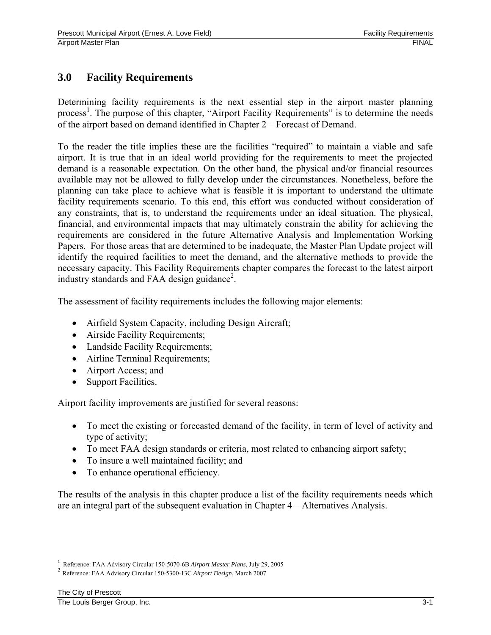# **3.0 Facility Requirements**

Determining facility requirements is the next essential step in the airport master planning process<sup>1</sup>. The purpose of this chapter, "Airport Facility Requirements" is to determine the needs of the airport based on demand identified in Chapter 2 – Forecast of Demand.

To the reader the title implies these are the facilities "required" to maintain a viable and safe airport. It is true that in an ideal world providing for the requirements to meet the projected demand is a reasonable expectation. On the other hand, the physical and/or financial resources available may not be allowed to fully develop under the circumstances. Nonetheless, before the planning can take place to achieve what is feasible it is important to understand the ultimate facility requirements scenario. To this end, this effort was conducted without consideration of any constraints, that is, to understand the requirements under an ideal situation. The physical, financial, and environmental impacts that may ultimately constrain the ability for achieving the requirements are considered in the future Alternative Analysis and Implementation Working Papers. For those areas that are determined to be inadequate, the Master Plan Update project will identify the required facilities to meet the demand, and the alternative methods to provide the necessary capacity. This Facility Requirements chapter compares the forecast to the latest airport industry standards and FAA design guidance<sup>2</sup>.

The assessment of facility requirements includes the following major elements:

- Airfield System Capacity, including Design Aircraft;
- Airside Facility Requirements;
- Landside Facility Requirements;
- Airline Terminal Requirements;
- Airport Access; and
- Support Facilities.

Airport facility improvements are justified for several reasons:

- To meet the existing or forecasted demand of the facility, in term of level of activity and type of activity;
- To meet FAA design standards or criteria, most related to enhancing airport safety;
- To insure a well maintained facility; and
- To enhance operational efficiency.

The results of the analysis in this chapter produce a list of the facility requirements needs which are an integral part of the subsequent evaluation in Chapter 4 – Alternatives Analysis.

 $\frac{1}{1}$ 

<sup>&</sup>lt;sup>2</sup> Reference: FAA Advisory Circular 150-5300-13C Airport Design, March 2007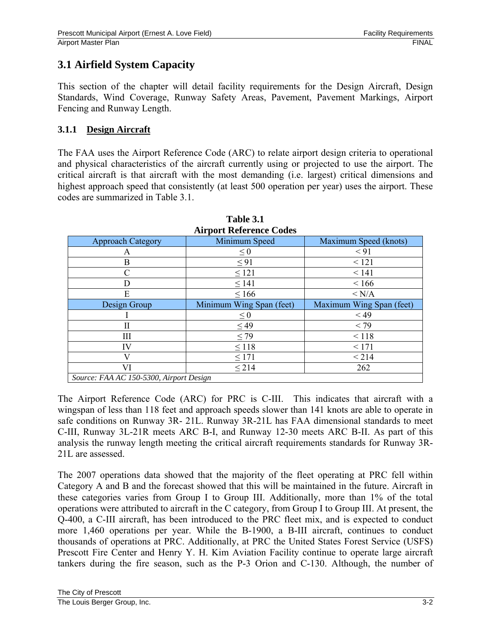# **3.1 Airfield System Capacity**

This section of the chapter will detail facility requirements for the Design Aircraft, Design Standards, Wind Coverage, Runway Safety Areas, Pavement, Pavement Markings, Airport Fencing and Runway Length.

## **3.1.1 Design Aircraft**

The FAA uses the Airport Reference Code (ARC) to relate airport design criteria to operational and physical characteristics of the aircraft currently using or projected to use the airport. The critical aircraft is that aircraft with the most demanding (i.e. largest) critical dimensions and highest approach speed that consistently (at least 500 operation per year) uses the airport. These codes are summarized in Table 3.1.

| <b>Airport Reference Codes</b>          |                          |                          |  |  |  |  |  |
|-----------------------------------------|--------------------------|--------------------------|--|--|--|--|--|
| <b>Approach Category</b>                | Minimum Speed            | Maximum Speed (knots)    |  |  |  |  |  |
| А                                       | $\leq 0$                 | < 91                     |  |  |  |  |  |
| B                                       | $\leq$ 91                | < 121                    |  |  |  |  |  |
| C                                       | $\leq 121$               | < 141                    |  |  |  |  |  |
| D                                       | $\leq$ 141               | < 166                    |  |  |  |  |  |
| E                                       | $\leq 166$               | < N/A                    |  |  |  |  |  |
| Design Group                            | Minimum Wing Span (feet) | Maximum Wing Span (feet) |  |  |  |  |  |
|                                         | $\leq 0$                 | $<$ 49                   |  |  |  |  |  |
| П                                       | $\leq$ 49                | < 79                     |  |  |  |  |  |
| Ш                                       | $\leq$ 79                | < 118                    |  |  |  |  |  |
| IV                                      | $\leq$ 118               | < 171                    |  |  |  |  |  |
| V                                       | $\leq$ 171               | < 214                    |  |  |  |  |  |
| VI                                      | $\leq$ 214               | 262                      |  |  |  |  |  |
| Source: FAA AC 150-5300, Airport Design |                          |                          |  |  |  |  |  |

# **Table 3.1**

The Airport Reference Code (ARC) for PRC is C-III. This indicates that aircraft with a wingspan of less than 118 feet and approach speeds slower than 141 knots are able to operate in safe conditions on Runway 3R- 21L. Runway 3R-21L has FAA dimensional standards to meet C-III, Runway 3L-21R meets ARC B-I, and Runway 12-30 meets ARC B-II. As part of this analysis the runway length meeting the critical aircraft requirements standards for Runway 3R-21L are assessed.

The 2007 operations data showed that the majority of the fleet operating at PRC fell within Category A and B and the forecast showed that this will be maintained in the future. Aircraft in these categories varies from Group I to Group III. Additionally, more than 1% of the total operations were attributed to aircraft in the C category, from Group I to Group III. At present, the Q-400, a C-III aircraft, has been introduced to the PRC fleet mix, and is expected to conduct more 1,460 operations per year. While the B-1900, a B-III aircraft, continues to conduct thousands of operations at PRC. Additionally, at PRC the United States Forest Service (USFS) Prescott Fire Center and Henry Y. H. Kim Aviation Facility continue to operate large aircraft tankers during the fire season, such as the P-3 Orion and C-130. Although, the number of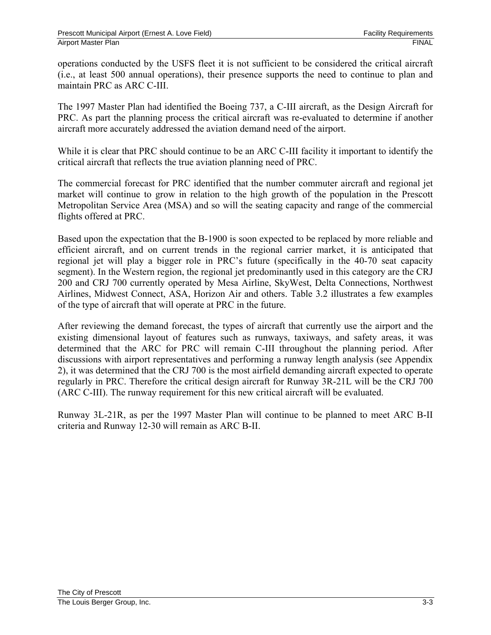operations conducted by the USFS fleet it is not sufficient to be considered the critical aircraft (i.e., at least 500 annual operations), their presence supports the need to continue to plan and maintain PRC as ARC C-III.

The 1997 Master Plan had identified the Boeing 737, a C-III aircraft, as the Design Aircraft for PRC. As part the planning process the critical aircraft was re-evaluated to determine if another aircraft more accurately addressed the aviation demand need of the airport.

While it is clear that PRC should continue to be an ARC C-III facility it important to identify the critical aircraft that reflects the true aviation planning need of PRC.

The commercial forecast for PRC identified that the number commuter aircraft and regional jet market will continue to grow in relation to the high growth of the population in the Prescott Metropolitan Service Area (MSA) and so will the seating capacity and range of the commercial flights offered at PRC.

Based upon the expectation that the B-1900 is soon expected to be replaced by more reliable and efficient aircraft, and on current trends in the regional carrier market, it is anticipated that regional jet will play a bigger role in PRC's future (specifically in the 40-70 seat capacity segment). In the Western region, the regional jet predominantly used in this category are the CRJ 200 and CRJ 700 currently operated by Mesa Airline, SkyWest, Delta Connections, Northwest Airlines, Midwest Connect, ASA, Horizon Air and others. Table 3.2 illustrates a few examples of the type of aircraft that will operate at PRC in the future.

After reviewing the demand forecast, the types of aircraft that currently use the airport and the existing dimensional layout of features such as runways, taxiways, and safety areas, it was determined that the ARC for PRC will remain C-III throughout the planning period. After discussions with airport representatives and performing a runway length analysis (see Appendix 2), it was determined that the CRJ 700 is the most airfield demanding aircraft expected to operate regularly in PRC. Therefore the critical design aircraft for Runway 3R-21L will be the CRJ 700 (ARC C-III). The runway requirement for this new critical aircraft will be evaluated.

Runway 3L-21R, as per the 1997 Master Plan will continue to be planned to meet ARC B-II criteria and Runway 12-30 will remain as ARC B-II.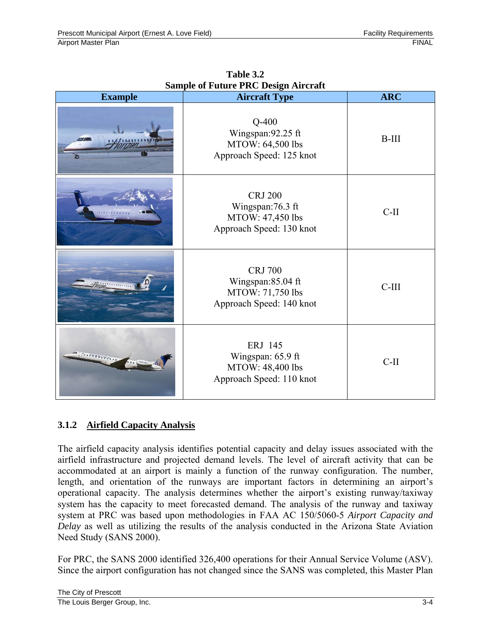| <b>Example</b>                                                                     | $\alpha$ ample of 1 and $\alpha$ 1 keeps $\alpha$ and $\alpha$ and $\alpha$<br><b>Aircraft Type</b> | <b>ARC</b> |
|------------------------------------------------------------------------------------|-----------------------------------------------------------------------------------------------------|------------|
|                                                                                    | $Q-400$<br>Wingspan: 92.25 ft<br>MTOW: 64,500 lbs<br>Approach Speed: 125 knot                       | $B-III$    |
|                                                                                    | <b>CRJ 200</b><br>Wingspan: 76.3 ft<br>MTOW: 47,450 lbs<br>Approach Speed: 130 knot                 | $C-II$     |
|                                                                                    | <b>CRJ 700</b><br>Wingspan:85.04 ft<br>MTOW: 71,750 lbs<br>Approach Speed: 140 knot                 | $C-III$    |
| $\mathbf{v}=\mathbf{v}^{\text{max}}\mathbf{v}^{\text{max}}\mathbf{v}^{\text{max}}$ | ERJ 145<br>Wingspan: 65.9 ft<br>MTOW: 48,400 lbs<br>Approach Speed: 110 knot                        | $C-II$     |

**Table 3.2 Sample of Future PRC Design Aircraft** 

## **3.1.2 Airfield Capacity Analysis**

The airfield capacity analysis identifies potential capacity and delay issues associated with the airfield infrastructure and projected demand levels. The level of aircraft activity that can be accommodated at an airport is mainly a function of the runway configuration. The number, length, and orientation of the runways are important factors in determining an airport's operational capacity. The analysis determines whether the airport's existing runway/taxiway system has the capacity to meet forecasted demand. The analysis of the runway and taxiway system at PRC was based upon methodologies in FAA AC 150/5060-5 *Airport Capacity and Delay* as well as utilizing the results of the analysis conducted in the Arizona State Aviation Need Study (SANS 2000).

For PRC, the SANS 2000 identified 326,400 operations for their Annual Service Volume (ASV). Since the airport configuration has not changed since the SANS was completed, this Master Plan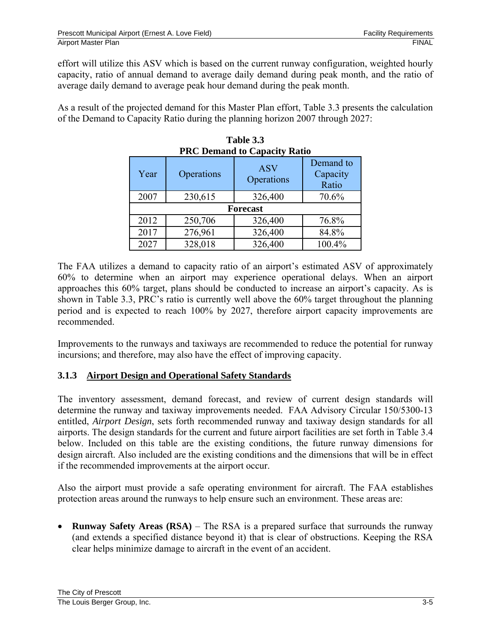effort will utilize this ASV which is based on the current runway configuration, weighted hourly capacity, ratio of annual demand to average daily demand during peak month, and the ratio of average daily demand to average peak hour demand during the peak month.

As a result of the projected demand for this Master Plan effort, Table 3.3 presents the calculation of the Demand to Capacity Ratio during the planning horizon 2007 through 2027:

**Table 3.3** 

| <b>PRC Demand to Capacity Ratio</b> |                 |                          |                                |  |  |  |
|-------------------------------------|-----------------|--------------------------|--------------------------------|--|--|--|
| Year                                | Operations      | <b>ASV</b><br>Operations | Demand to<br>Capacity<br>Ratio |  |  |  |
| 2007                                | 230,615         | 326,400                  | 70.6%                          |  |  |  |
|                                     | <b>Forecast</b> |                          |                                |  |  |  |
| 2012                                | 250,706         | 326,400                  | 76.8%                          |  |  |  |
| 2017                                | 276,961         | 326,400                  | 84.8%                          |  |  |  |
| 2027                                | 328,018         | 326,400                  | 100.4%                         |  |  |  |

| Table 3.3                           |      |
|-------------------------------------|------|
| <b>PRC Demand to Capacity Ratio</b> |      |
|                                     | Dema |

The FAA utilizes a demand to capacity ratio of an airport's estimated ASV of approximately 60% to determine when an airport may experience operational delays. When an airport approaches this 60% target, plans should be conducted to increase an airport's capacity. As is shown in Table 3.3, PRC's ratio is currently well above the 60% target throughout the planning period and is expected to reach 100% by 2027, therefore airport capacity improvements are recommended.

Improvements to the runways and taxiways are recommended to reduce the potential for runway incursions; and therefore, may also have the effect of improving capacity.

## **3.1.3 Airport Design and Operational Safety Standards**

The inventory assessment, demand forecast, and review of current design standards will determine the runway and taxiway improvements needed. FAA Advisory Circular 150/5300-13 entitled, *Airport Design*, sets forth recommended runway and taxiway design standards for all airports. The design standards for the current and future airport facilities are set forth in Table 3.4 below. Included on this table are the existing conditions, the future runway dimensions for design aircraft. Also included are the existing conditions and the dimensions that will be in effect if the recommended improvements at the airport occur.

Also the airport must provide a safe operating environment for aircraft. The FAA establishes protection areas around the runways to help ensure such an environment. These areas are:

• **Runway Safety Areas (RSA)** – The RSA is a prepared surface that surrounds the runway (and extends a specified distance beyond it) that is clear of obstructions. Keeping the RSA clear helps minimize damage to aircraft in the event of an accident.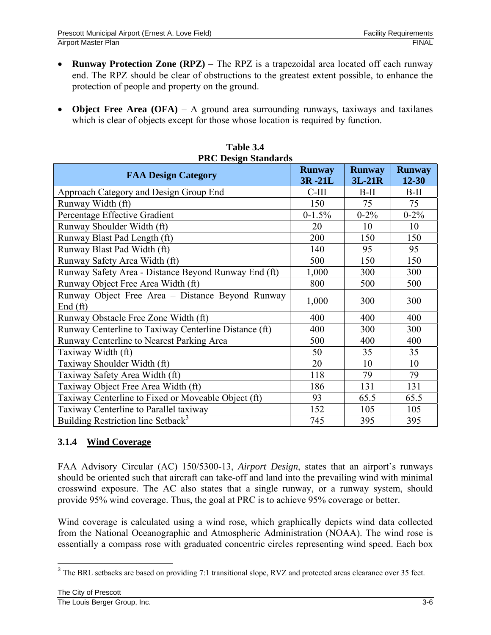- **Runway Protection Zone (RPZ)** The RPZ is a trapezoidal area located off each runway end. The RPZ should be clear of obstructions to the greatest extent possible, to enhance the protection of people and property on the ground.
- **Object Free Area (OFA)** A ground area surrounding runways, taxiways and taxilanes which is clear of objects except for those whose location is required by function.

| <b>PRC Design Standards</b>                                    |                         |                         |                            |  |  |  |
|----------------------------------------------------------------|-------------------------|-------------------------|----------------------------|--|--|--|
| <b>FAA Design Category</b>                                     | <b>Runway</b><br>3R-21L | <b>Runway</b><br>3L-21R | <b>Runway</b><br>$12 - 30$ |  |  |  |
| Approach Category and Design Group End                         | $C-III$                 | $B-II$                  | $B-II$                     |  |  |  |
| Runway Width (ft)                                              | 150                     | 75                      | 75                         |  |  |  |
| Percentage Effective Gradient                                  | $0-1.5%$                | $0 - 2\%$               | $0 - 2\%$                  |  |  |  |
| Runway Shoulder Width (ft)                                     | 20                      | 10                      | 10                         |  |  |  |
| Runway Blast Pad Length (ft)                                   | 200                     | 150                     | 150                        |  |  |  |
| Runway Blast Pad Width (ft)                                    | 140                     | 95                      | 95                         |  |  |  |
| Runway Safety Area Width (ft)                                  | 500                     | 150                     | 150                        |  |  |  |
| Runway Safety Area - Distance Beyond Runway End (ft)           | 1,000                   | 300                     | 300                        |  |  |  |
| Runway Object Free Area Width (ft)                             | 800                     | 500                     | 500                        |  |  |  |
| Runway Object Free Area - Distance Beyond Runway<br>End $(ft)$ | 1,000                   | 300                     | 300                        |  |  |  |
| Runway Obstacle Free Zone Width (ft)                           | 400                     | 400                     | 400                        |  |  |  |
| Runway Centerline to Taxiway Centerline Distance (ft)          | 400                     | 300                     | 300                        |  |  |  |
| Runway Centerline to Nearest Parking Area                      | 500                     | 400                     | 400                        |  |  |  |
| Taxiway Width (ft)                                             | 50                      | 35                      | 35                         |  |  |  |
| Taxiway Shoulder Width (ft)                                    | 20                      | 10                      | 10                         |  |  |  |
| Taxiway Safety Area Width (ft)                                 | 118                     | 79                      | 79                         |  |  |  |
| Taxiway Object Free Area Width (ft)                            | 186                     | 131                     | 131                        |  |  |  |
| Taxiway Centerline to Fixed or Moveable Object (ft)            | 93                      | 65.5                    | 65.5                       |  |  |  |
| Taxiway Centerline to Parallel taxiway                         | 152                     | 105                     | 105                        |  |  |  |
| Building Restriction line Setback <sup>3</sup>                 | 745                     | 395                     | 395                        |  |  |  |

| Table 3.4            |
|----------------------|
| PRC Desion Standards |

## **3.1.4 Wind Coverage**

FAA Advisory Circular (AC) 150/5300-13, *Airport Design*, states that an airport's runways should be oriented such that aircraft can take-off and land into the prevailing wind with minimal crosswind exposure. The AC also states that a single runway, or a runway system, should provide 95% wind coverage. Thus, the goal at PRC is to achieve 95% coverage or better.

Wind coverage is calculated using a wind rose, which graphically depicts wind data collected from the National Oceanographic and Atmospheric Administration (NOAA). The wind rose is essentially a compass rose with graduated concentric circles representing wind speed. Each box

 $\overline{a}$  $3$  The BRL setbacks are based on providing 7:1 transitional slope, RVZ and protected areas clearance over 35 feet.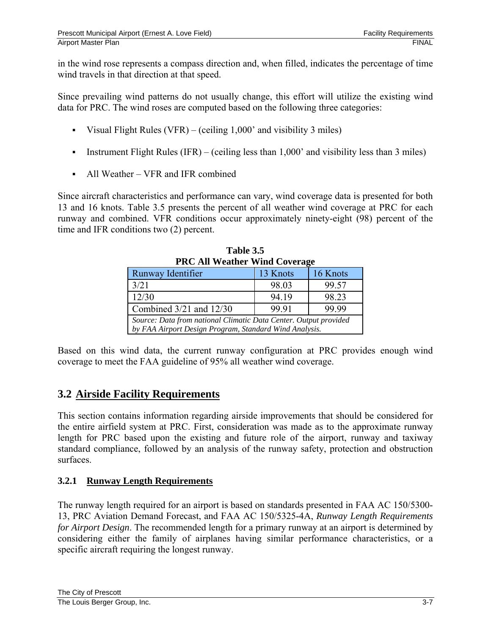in the wind rose represents a compass direction and, when filled, indicates the percentage of time wind travels in that direction at that speed.

Since prevailing wind patterns do not usually change, this effort will utilize the existing wind data for PRC. The wind roses are computed based on the following three categories:

- Visual Flight Rules (VFR) (ceiling  $1,000'$  and visibility 3 miles)
- Instrument Flight Rules (IFR) (ceiling less than  $1,000'$  and visibility less than 3 miles)
- All Weather VFR and IFR combined

Since aircraft characteristics and performance can vary, wind coverage data is presented for both 13 and 16 knots. Table 3.5 presents the percent of all weather wind coverage at PRC for each runway and combined. VFR conditions occur approximately ninety-eight (98) percent of the time and IFR conditions two (2) percent.

| <b>PRC All Weather Wind Coverage</b>                             |       |       |  |  |  |
|------------------------------------------------------------------|-------|-------|--|--|--|
| 13 Knots<br>16 Knots<br>Runway Identifier                        |       |       |  |  |  |
| 3/21                                                             | 98.03 | 99.57 |  |  |  |
| 12/30                                                            | 98.23 |       |  |  |  |
| 99.91<br>99.99<br>Combined $3/21$ and $12/30$                    |       |       |  |  |  |
| Source: Data from national Climatic Data Center. Output provided |       |       |  |  |  |
| by FAA Airport Design Program, Standard Wind Analysis.           |       |       |  |  |  |

**Table 3.5 PRC All Weather Wind Coverage** 

Based on this wind data, the current runway configuration at PRC provides enough wind coverage to meet the FAA guideline of 95% all weather wind coverage.

# **3.2 Airside Facility Requirements**

This section contains information regarding airside improvements that should be considered for the entire airfield system at PRC. First, consideration was made as to the approximate runway length for PRC based upon the existing and future role of the airport, runway and taxiway standard compliance, followed by an analysis of the runway safety, protection and obstruction surfaces.

## **3.2.1 Runway Length Requirements**

The runway length required for an airport is based on standards presented in FAA AC 150/5300- 13, PRC Aviation Demand Forecast, and FAA AC 150/5325-4A, *Runway Length Requirements for Airport Design*. The recommended length for a primary runway at an airport is determined by considering either the family of airplanes having similar performance characteristics, or a specific aircraft requiring the longest runway.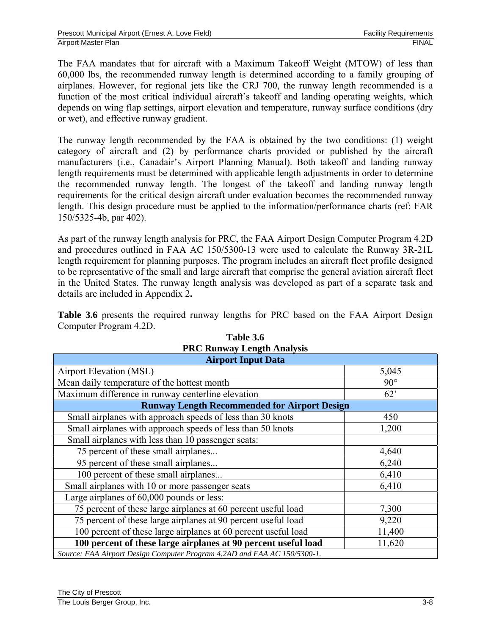The FAA mandates that for aircraft with a Maximum Takeoff Weight (MTOW) of less than 60,000 lbs, the recommended runway length is determined according to a family grouping of airplanes. However, for regional jets like the CRJ 700, the runway length recommended is a function of the most critical individual aircraft's takeoff and landing operating weights, which depends on wing flap settings, airport elevation and temperature, runway surface conditions (dry or wet), and effective runway gradient.

The runway length recommended by the FAA is obtained by the two conditions: (1) weight category of aircraft and (2) by performance charts provided or published by the aircraft manufacturers (i.e., Canadair's Airport Planning Manual). Both takeoff and landing runway length requirements must be determined with applicable length adjustments in order to determine the recommended runway length. The longest of the takeoff and landing runway length requirements for the critical design aircraft under evaluation becomes the recommended runway length. This design procedure must be applied to the information/performance charts (ref: FAR 150/5325-4b, par 402).

As part of the runway length analysis for PRC, the FAA Airport Design Computer Program 4.2D and procedures outlined in FAA AC 150/5300-13 were used to calculate the Runway 3R-21L length requirement for planning purposes. The program includes an aircraft fleet profile designed to be representative of the small and large aircraft that comprise the general aviation aircraft fleet in the United States. The runway length analysis was developed as part of a separate task and details are included in Appendix 2**.**

**Table 3.6** presents the required runway lengths for PRC based on the FAA Airport Design Computer Program 4.2D.

| т не напиау пендиглиагузь<br><b>Airport Input Data</b>                   |            |  |  |  |
|--------------------------------------------------------------------------|------------|--|--|--|
| <b>Airport Elevation (MSL)</b>                                           | 5,045      |  |  |  |
| Mean daily temperature of the hottest month                              | $90^\circ$ |  |  |  |
| Maximum difference in runway centerline elevation                        | 62'        |  |  |  |
| <b>Runway Length Recommended for Airport Design</b>                      |            |  |  |  |
| Small airplanes with approach speeds of less than 30 knots               | 450        |  |  |  |
| Small airplanes with approach speeds of less than 50 knots               | 1,200      |  |  |  |
| Small airplanes with less than 10 passenger seats:                       |            |  |  |  |
| 75 percent of these small airplanes                                      | 4,640      |  |  |  |
| 95 percent of these small airplanes                                      | 6,240      |  |  |  |
| 100 percent of these small airplanes                                     | 6,410      |  |  |  |
| Small airplanes with 10 or more passenger seats                          | 6,410      |  |  |  |
| Large airplanes of 60,000 pounds or less:                                |            |  |  |  |
| 75 percent of these large airplanes at 60 percent useful load            | 7,300      |  |  |  |
| 75 percent of these large airplanes at 90 percent useful load            | 9,220      |  |  |  |
| 100 percent of these large airplanes at 60 percent useful load           | 11,400     |  |  |  |
| 100 percent of these large airplanes at 90 percent useful load           | 11,620     |  |  |  |
| Source: FAA Airport Design Computer Program 4.2AD and FAA AC 150/5300-1. |            |  |  |  |

## **Table 3.6 PRC Runway Length Analysis**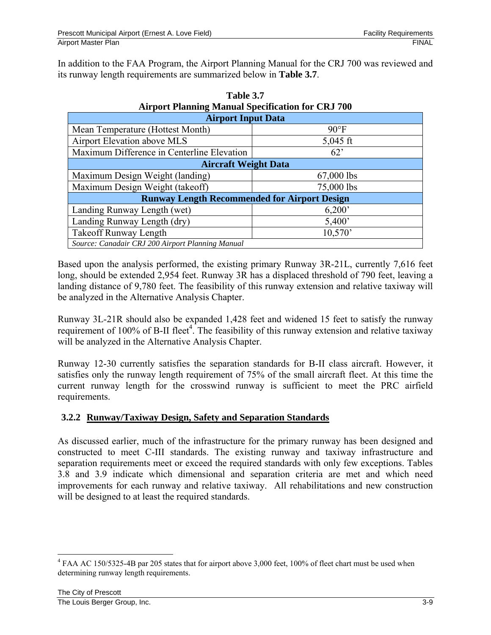In addition to the FAA Program, the Airport Planning Manual for the CRJ 700 was reviewed and its runway length requirements are summarized below in **Table 3.7**.

| All port I familing manual specification for CKJ 700 |                |  |  |  |  |
|------------------------------------------------------|----------------|--|--|--|--|
| <b>Airport Input Data</b>                            |                |  |  |  |  |
| Mean Temperature (Hottest Month)                     | $90^{\circ}$ F |  |  |  |  |
| Airport Elevation above MLS                          | $5,045$ ft     |  |  |  |  |
| Maximum Difference in Centerline Elevation           | $62^{\circ}$   |  |  |  |  |
| <b>Aircraft Weight Data</b>                          |                |  |  |  |  |
| Maximum Design Weight (landing)                      | 67,000 lbs     |  |  |  |  |
| Maximum Design Weight (takeoff)                      | 75,000 lbs     |  |  |  |  |
| <b>Runway Length Recommended for Airport Design</b>  |                |  |  |  |  |
| Landing Runway Length (wet)                          | 6,200'         |  |  |  |  |
| Landing Runway Length (dry)                          | 5,400'         |  |  |  |  |
| <b>Takeoff Runway Length</b>                         | 10,570'        |  |  |  |  |
| Source: Canadair CRJ 200 Airport Planning Manual     |                |  |  |  |  |

| Table 3.7                                                |
|----------------------------------------------------------|
| <b>Airport Planning Manual Specification for CRJ 700</b> |
|                                                          |

Based upon the analysis performed, the existing primary Runway 3R-21L, currently 7,616 feet long, should be extended 2,954 feet. Runway 3R has a displaced threshold of 790 feet, leaving a landing distance of 9,780 feet. The feasibility of this runway extension and relative taxiway will be analyzed in the Alternative Analysis Chapter.

Runway 3L-21R should also be expanded 1,428 feet and widened 15 feet to satisfy the runway requirement of 100% of B-II fleet<sup>4</sup>. The feasibility of this runway extension and relative taxiway will be analyzed in the Alternative Analysis Chapter.

Runway 12-30 currently satisfies the separation standards for B-II class aircraft. However, it satisfies only the runway length requirement of 75% of the small aircraft fleet. At this time the current runway length for the crosswind runway is sufficient to meet the PRC airfield requirements.

## **3.2.2 Runway/Taxiway Design, Safety and Separation Standards**

As discussed earlier, much of the infrastructure for the primary runway has been designed and constructed to meet C-III standards. The existing runway and taxiway infrastructure and separation requirements meet or exceed the required standards with only few exceptions. Tables 3.8 and 3.9 indicate which dimensional and separation criteria are met and which need improvements for each runway and relative taxiway. All rehabilitations and new construction will be designed to at least the required standards.

 $\overline{a}$ 

<sup>&</sup>lt;sup>4</sup> FAA AC 150/5325-4B par 205 states that for airport above 3,000 feet, 100% of fleet chart must be used when determining runway length requirements.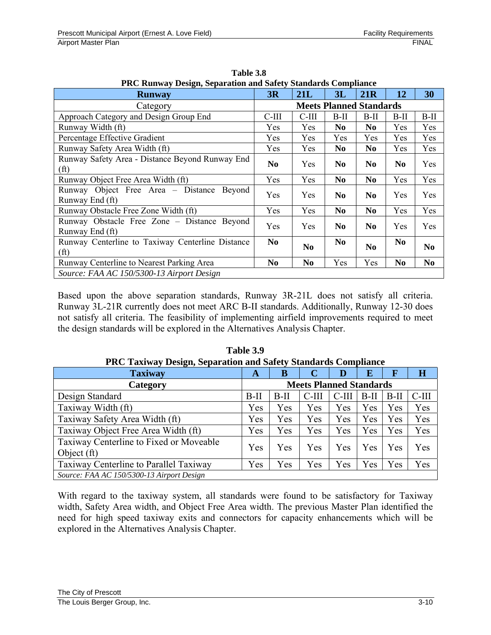| PRC Runway Design, Separation and Safety Standards Compliance         |                                |                |                |                |                |                |
|-----------------------------------------------------------------------|--------------------------------|----------------|----------------|----------------|----------------|----------------|
| <b>Runway</b>                                                         | 3R                             | 21L            | 3L             | 21R            | 12             | 30             |
| Category                                                              | <b>Meets Planned Standards</b> |                |                |                |                |                |
| Approach Category and Design Group End                                | C-III                          | $C-III$        | $B-II$         | $B-II$         | $B-II$         | B-II           |
| Runway Width (ft)                                                     | Yes.                           | Yes            | N <sub>0</sub> | N <sub>0</sub> | Yes            | Yes            |
| Percentage Effective Gradient                                         | <b>Yes</b>                     | Yes.           | <b>Yes</b>     | Yes            | Yes            | Yes            |
| Runway Safety Area Width (ft)                                         | Yes                            | Yes            | N <sub>0</sub> | N <sub>0</sub> | Yes            | Yes            |
| Runway Safety Area - Distance Beyond Runway End<br>(f <sup>t</sup> )  | No                             | Yes            | N <sub>0</sub> | N <sub>0</sub> | N <sub>0</sub> | Yes            |
| Runway Object Free Area Width (ft)                                    | Yes                            | Yes            | N <sub>0</sub> | N <sub>0</sub> | Yes            | Yes            |
| Runway Object Free Area – Distance Beyond<br>Runway End (ft)          | Yes                            | Yes            | N <sub>0</sub> | N <sub>0</sub> | Yes            | Yes            |
| Runway Obstacle Free Zone Width (ft)                                  | Yes                            | Yes            | N <sub>0</sub> | N <sub>0</sub> | Yes            | Yes            |
| Runway Obstacle Free Zone – Distance Beyond<br>Runway End (ft)        | Yes                            | Yes            | N <sub>0</sub> | N <sub>0</sub> | Yes            | Yes            |
| Runway Centerline to Taxiway Centerline Distance<br>(f <sup>t</sup> ) | No.                            | N <sub>0</sub> | N <sub>0</sub> | N <sub>0</sub> | N <sub>0</sub> | N <sub>0</sub> |
| Runway Centerline to Nearest Parking Area                             | No                             | N <sub>0</sub> | Yes            | Yes            | N <sub>0</sub> | N <sub>0</sub> |
| Source: FAA AC 150/5300-13 Airport Design                             |                                |                |                |                |                |                |

**Table 3.8 PRC Runway Design, Separation and Safety Standards Compliance**

Based upon the above separation standards, Runway 3R-21L does not satisfy all criteria. Runway 3L-21R currently does not meet ARC B-II standards. Additionally, Runway 12-30 does not satisfy all criteria. The feasibility of implementing airfield improvements required to meet the design standards will be explored in the Alternatives Analysis Chapter.

| <b>PRC Taxiway Design, Separation and Safety Standards Compliance</b> |        |                                |         |          |        |             |                         |
|-----------------------------------------------------------------------|--------|--------------------------------|---------|----------|--------|-------------|-------------------------|
| <b>Taxiway</b>                                                        | A      | В                              |         | D        | E      | $\mathbf F$ | $\overline{\mathbf{H}}$ |
| Category                                                              |        | <b>Meets Planned Standards</b> |         |          |        |             |                         |
| Design Standard                                                       | $B-II$ | $B-II$                         | $C-III$ | $C$ -III | $B-II$ | $B-II$      | $C-III$                 |
| Taxiway Width (ft)                                                    | Yes    | Yes                            | Yes     | Yes      | Yes    | Yes         | Yes                     |
| Taxiway Safety Area Width (ft)                                        | Yes    | Yes                            | Yes     | Yes      | Yes    | Yes         | Yes                     |
| Taxiway Object Free Area Width (ft)                                   | Yes    | Yes                            | Yes     | Yes      | Yes    | Yes         | Yes                     |
| Taxiway Centerline to Fixed or Moveable<br>Object (ft)                | Yes    | Yes                            | Yes     | Yes      | Yes    | Yes         | Yes                     |
| Taxiway Centerline to Parallel Taxiway                                | Yes    | Yes                            | Yes     | Yes      | Yes    | Yes         | Yes                     |
| Source: FAA AC 150/5300-13 Airport Design                             |        |                                |         |          |        |             |                         |

**Table 3.9 PRC Taxiway Design, Separation and Safety Standards Compliance** 

With regard to the taxiway system, all standards were found to be satisfactory for Taxiway width, Safety Area width, and Object Free Area width. The previous Master Plan identified the need for high speed taxiway exits and connectors for capacity enhancements which will be explored in the Alternatives Analysis Chapter.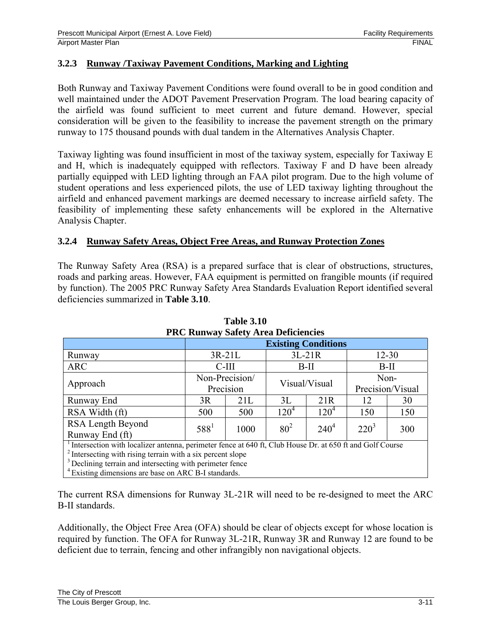## **3.2.3 Runway /Taxiway Pavement Conditions, Marking and Lighting**

Both Runway and Taxiway Pavement Conditions were found overall to be in good condition and well maintained under the ADOT Pavement Preservation Program. The load bearing capacity of the airfield was found sufficient to meet current and future demand. However, special consideration will be given to the feasibility to increase the pavement strength on the primary runway to 175 thousand pounds with dual tandem in the Alternatives Analysis Chapter.

Taxiway lighting was found insufficient in most of the taxiway system, especially for Taxiway E and H, which is inadequately equipped with reflectors. Taxiway F and D have been already partially equipped with LED lighting through an FAA pilot program. Due to the high volume of student operations and less experienced pilots, the use of LED taxiway lighting throughout the airfield and enhanced pavement markings are deemed necessary to increase airfield safety. The feasibility of implementing these safety enhancements will be explored in the Alternative Analysis Chapter.

#### **3.2.4 Runway Safety Areas, Object Free Areas, and Runway Protection Zones**

The Runway Safety Area (RSA) is a prepared surface that is clear of obstructions, structures, roads and parking areas. However, FAA equipment is permitted on frangible mounts (if required by function). The 2005 PRC Runway Safety Area Standards Evaluation Report identified several deficiencies summarized in **Table 3.10**.

| TWO KUHWAY BARRY ATEA DEHERIKKE                                                                                       |                            |                |          |               |         |                  |  |
|-----------------------------------------------------------------------------------------------------------------------|----------------------------|----------------|----------|---------------|---------|------------------|--|
|                                                                                                                       | <b>Existing Conditions</b> |                |          |               |         |                  |  |
| Runway                                                                                                                |                            | $3R-21L$       |          | $3L-21R$      |         | $12 - 30$        |  |
| <b>ARC</b>                                                                                                            |                            | $C-III$        |          | $B-II$        |         | $B-II$           |  |
|                                                                                                                       |                            | Non-Precision/ | Non-     |               |         |                  |  |
| Approach                                                                                                              | Precision                  |                |          | Visual/Visual |         | Precision/Visual |  |
| Runway End                                                                                                            | 3R                         | 21L            | 3L       | 21R           | 12      | 30               |  |
| RSA Width (ft)                                                                                                        | 500                        | 500            | $120^4$  | $120^4$       | 150     | 150              |  |
| RSA Length Beyond                                                                                                     | $588^1$                    | 1000           | $80^{2}$ | $240^4$       | $220^3$ | 300              |  |
| Runway End (ft)                                                                                                       |                            |                |          |               |         |                  |  |
| <sup>1</sup> Intersection with localizer antenna, perimeter fence at 640 ft, Club House Dr. at 650 ft and Golf Course |                            |                |          |               |         |                  |  |
| $\frac{1}{2}$ Intersecting with rising terrain with a six percent slope                                               |                            |                |          |               |         |                  |  |
| <sup>3</sup> Declining terrain and intersecting with perimeter fence                                                  |                            |                |          |               |         |                  |  |
| <sup>4</sup> Existing dimensions are base on ARC B-I standards.                                                       |                            |                |          |               |         |                  |  |

**Table 3.10 PRC Runway Safety Area Deficiencies** 

The current RSA dimensions for Runway 3L-21R will need to be re-designed to meet the ARC B-II standards.

Additionally, the Object Free Area (OFA) should be clear of objects except for whose location is required by function. The OFA for Runway 3L-21R, Runway 3R and Runway 12 are found to be deficient due to terrain, fencing and other infrangibly non navigational objects.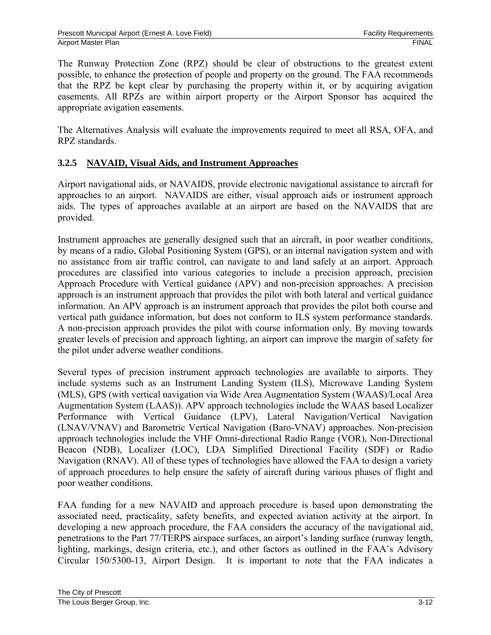The Runway Protection Zone (RPZ) should be clear of obstructions to the greatest extent possible, to enhance the protection of people and property on the ground. The FAA recommends that the RPZ be kept clear by purchasing the property within it, or by acquiring avigation easements. All RPZs are within airport property or the Airport Sponsor has acquired the appropriate avigation easements.

The Alternatives Analysis will evaluate the improvements required to meet all RSA, OFA, and RPZ standards.

## **3.2.5 NAVAID, Visual Aids, and Instrument Approaches**

Airport navigational aids, or NAVAIDS, provide electronic navigational assistance to aircraft for approaches to an airport. NAVAIDS are either, visual approach aids or instrument approach aids. The types of approaches available at an airport are based on the NAVAIDS that are provided.

Instrument approaches are generally designed such that an aircraft, in poor weather conditions, by means of a radio, Global Positioning System (GPS), or an internal navigation system and with no assistance from air traffic control, can navigate to and land safely at an airport. Approach procedures are classified into various categories to include a precision approach, precision Approach Procedure with Vertical guidance (APV) and non-precision approaches. A precision approach is an instrument approach that provides the pilot with both lateral and vertical guidance information. An APV approach is an instrument approach that provides the pilot both course and vertical path guidance information, but does not conform to ILS system performance standards. A non-precision approach provides the pilot with course information only. By moving towards greater levels of precision and approach lighting, an airport can improve the margin of safety for the pilot under adverse weather conditions.

Several types of precision instrument approach technologies are available to airports. They include systems such as an Instrument Landing System (ILS), Microwave Landing System (MLS), GPS (with vertical navigation via Wide Area Augmentation System (WAAS)/Local Area Augmentation System (LAAS)). APV approach technologies include the WAAS based Localizer Performance with Vertical Guidance (LPV), Lateral Navigation/Vertical Navigation (LNAV/VNAV) and Barometric Vertical Navigation (Baro-VNAV) approaches. Non-precision approach technologies include the VHF Omni-directional Radio Range (VOR), Non-Directional Beacon (NDB), Localizer (LOC), LDA Simplified Directional Facility (SDF) or Radio Navigation (RNAV). All of these types of technologies have allowed the FAA to design a variety of approach procedures to help ensure the safety of aircraft during various phases of flight and poor weather conditions.

FAA funding for a new NAVAID and approach procedure is based upon demonstrating the associated need, practicality, safety benefits, and expected aviation activity at the airport. In developing a new approach procedure, the FAA considers the accuracy of the navigational aid, penetrations to the Part 77/TERPS airspace surfaces, an airport's landing surface (runway length, lighting, markings, design criteria, etc.), and other factors as outlined in the FAA's Advisory Circular 150/5300-13, Airport Design. It is important to note that the FAA indicates a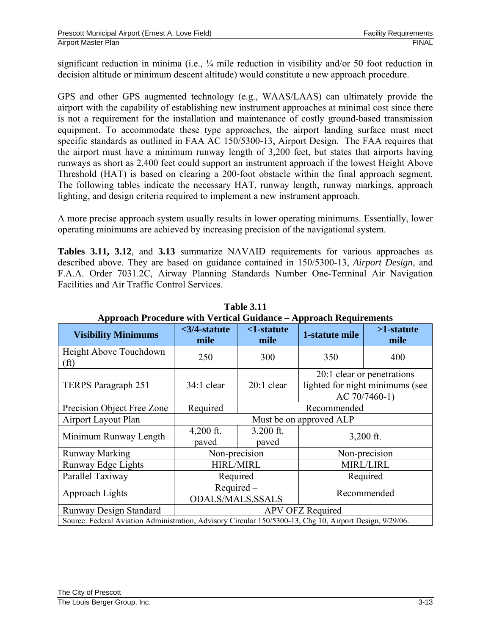significant reduction in minima (i.e.,  $\frac{1}{4}$  mile reduction in visibility and/or 50 foot reduction in decision altitude or minimum descent altitude) would constitute a new approach procedure.

GPS and other GPS augmented technology (e.g., WAAS/LAAS) can ultimately provide the airport with the capability of establishing new instrument approaches at minimal cost since there is not a requirement for the installation and maintenance of costly ground-based transmission equipment. To accommodate these type approaches, the airport landing surface must meet specific standards as outlined in FAA AC 150/5300-13, Airport Design. The FAA requires that the airport must have a minimum runway length of 3,200 feet, but states that airports having runways as short as 2,400 feet could support an instrument approach if the lowest Height Above Threshold (HAT) is based on clearing a 200-foot obstacle within the final approach segment. The following tables indicate the necessary HAT, runway length, runway markings, approach lighting, and design criteria required to implement a new instrument approach.

A more precise approach system usually results in lower operating minimums. Essentially, lower operating minimums are achieved by increasing precision of the navigational system.

**Tables 3.11, 3.12**, and **3.13** summarize NAVAID requirements for various approaches as described above. They are based on guidance contained in 150/5300-13, *Airport Design*, and F.A.A. Order 7031.2C, Airway Planning Standards Number One-Terminal Air Navigation Facilities and Air Traffic Control Services.

| Approach Procedure with Vertical Guidance – Approach Requirements                                        |                          |                               |                                                                                |                       |  |
|----------------------------------------------------------------------------------------------------------|--------------------------|-------------------------------|--------------------------------------------------------------------------------|-----------------------|--|
| <b>Visibility Minimums</b>                                                                               | $<$ 3/4-statute<br>mile  | <1-statute<br>mile            | 1-statute mile                                                                 | $>1$ -statute<br>mile |  |
| Height Above Touchdown<br>(f <sup>t</sup> )                                                              | 250                      | 300                           | 350                                                                            | 400                   |  |
| TERPS Paragraph 251                                                                                      | 34:1 clear               | $20:1$ clear                  | 20:1 clear or penetrations<br>lighted for night minimums (see<br>AC 70/7460-1) |                       |  |
| Precision Object Free Zone                                                                               | Required                 | Recommended                   |                                                                                |                       |  |
| Airport Layout Plan                                                                                      |                          | Must be on approved ALP       |                                                                                |                       |  |
| Minimum Runway Length                                                                                    | $4,200$ ft.<br>paved     | $3,200$ ft.<br>paved          | $3,200$ ft.                                                                    |                       |  |
| <b>Runway Marking</b>                                                                                    | Non-precision            |                               |                                                                                | Non-precision         |  |
| Runway Edge Lights                                                                                       |                          | <b>HIRL/MIRL</b><br>MIRL/LIRL |                                                                                |                       |  |
| Parallel Taxiway                                                                                         | Required                 |                               | Required                                                                       |                       |  |
| Approach Lights                                                                                          | Required-                |                               | Recommended                                                                    |                       |  |
|                                                                                                          | <b>ODALS/MALS, SSALS</b> |                               |                                                                                |                       |  |
| <b>Runway Design Standard</b>                                                                            | APV OFZ Required         |                               |                                                                                |                       |  |
| Source: Federal Aviation Administration, Advisory Circular 150/5300-13, Chg 10, Airport Design, 9/29/06. |                          |                               |                                                                                |                       |  |

**Table 3.11 Approach Procedure with Vertical Guidance – Approach Requirements**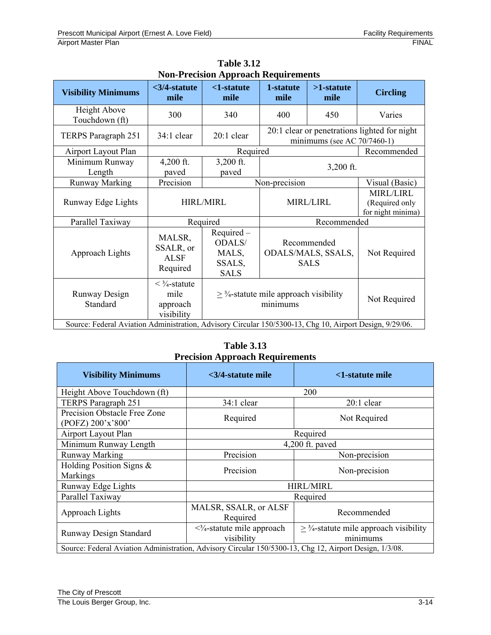|                                                                                                          |                                                                               | гулг-т гесімдік жұрғысқа кедин енгеніз                                           |                                                  |                                |                                                         |  |
|----------------------------------------------------------------------------------------------------------|-------------------------------------------------------------------------------|----------------------------------------------------------------------------------|--------------------------------------------------|--------------------------------|---------------------------------------------------------|--|
| <b>Visibility Minimums</b>                                                                               | $<$ 3/4-statute<br>mile                                                       | $<$ 1-statute<br>mile                                                            | 1-statute<br>mile                                | $>1$ -statute<br>mile          | <b>Circling</b>                                         |  |
| Height Above<br>Touchdown (ft)                                                                           | 300                                                                           | 340                                                                              | 400                                              | 450                            | Varies                                                  |  |
| TERPS Paragraph 251                                                                                      | $34:1$ clear                                                                  | 20:1 clear                                                                       |                                                  | minimums (see AC $70/7460-1$ ) | 20:1 clear or penetrations lighted for night            |  |
| Airport Layout Plan                                                                                      |                                                                               | Required                                                                         |                                                  |                                | Recommended                                             |  |
| Minimum Runway<br>Length                                                                                 | $4,200$ ft.<br>paved                                                          | 3,200 ft.<br>paved                                                               |                                                  | $3,200$ ft.                    |                                                         |  |
| <b>Runway Marking</b>                                                                                    | Precision                                                                     |                                                                                  | Non-precision                                    | Visual (Basic)                 |                                                         |  |
| Runway Edge Lights                                                                                       |                                                                               | <b>HIRL/MIRL</b>                                                                 |                                                  | MIRL/LIRL                      | <b>MIRL/LIRL</b><br>(Required only<br>for night minima) |  |
| Parallel Taxiway                                                                                         |                                                                               | Required                                                                         |                                                  | Recommended                    |                                                         |  |
| Approach Lights                                                                                          | MALSR,<br>SSALR, or<br><b>ALSF</b><br>Required                                | Required-<br>ODALS/<br>MALS,<br>SSALS,<br><b>SALS</b>                            | Recommended<br>ODALS/MALS, SSALS,<br><b>SALS</b> |                                | Not Required                                            |  |
| Runway Design<br>Standard                                                                                | $\langle \frac{3}{4} - \frac{3}{4} \rangle$<br>mile<br>approach<br>visibility | $\geq$ <sup>3</sup> / <sub>4</sub> -statute mile approach visibility<br>minimums |                                                  | Not Required                   |                                                         |  |
| Source: Federal Aviation Administration, Advisory Circular 150/5300-13, Chg 10, Airport Design, 9/29/06. |                                                                               |                                                                                  |                                                  |                                |                                                         |  |

**Table 3.12 Non-Precision Approach Requirements**

**Table 3.13 Precision Approach Requirements** 

| <b>Visibility Minimums</b>                                                                              | $\langle 3/4\text{-}statute \text{ mile}$                                                                     | <1-statute mile  |  |  |
|---------------------------------------------------------------------------------------------------------|---------------------------------------------------------------------------------------------------------------|------------------|--|--|
| Height Above Touchdown (ft)                                                                             | 200                                                                                                           |                  |  |  |
| TERPS Paragraph 251                                                                                     | $34:1$ clear                                                                                                  | $20:1$ clear     |  |  |
| Precision Obstacle Free Zone<br>(POFZ) 200'x'800'                                                       | Required                                                                                                      | Not Required     |  |  |
| Airport Layout Plan                                                                                     | Required                                                                                                      |                  |  |  |
| Minimum Runway Length                                                                                   | $4,200$ ft. paved                                                                                             |                  |  |  |
| <b>Runway Marking</b>                                                                                   | Precision                                                                                                     | Non-precision    |  |  |
| Holding Position Signs &<br>Markings                                                                    | Precision                                                                                                     | Non-precision    |  |  |
| Runway Edge Lights                                                                                      |                                                                                                               | <b>HIRL/MIRL</b> |  |  |
| Parallel Taxiway                                                                                        |                                                                                                               | Required         |  |  |
| Approach Lights                                                                                         | MALSR, SSALR, or ALSF<br>Required                                                                             | Recommended      |  |  |
| Runway Design Standard                                                                                  | $\geq$ 3/4-statute mile approach visibility<br>$\langle 3/4$ -statute mile approach<br>visibility<br>minimums |                  |  |  |
| Source: Federal Aviation Administration, Advisory Circular 150/5300-13, Chg 12, Airport Design, 1/3/08. |                                                                                                               |                  |  |  |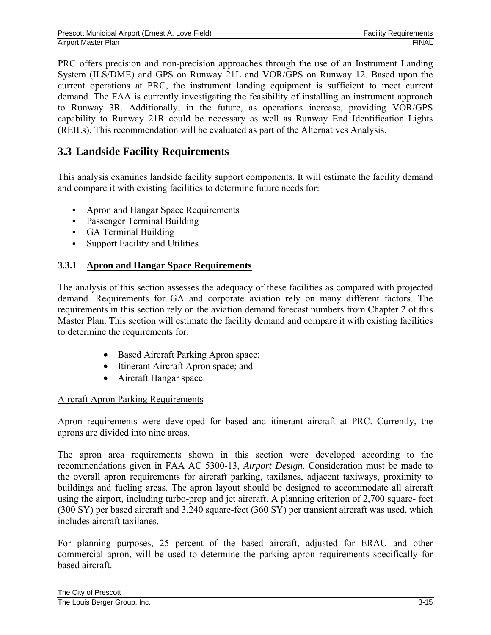PRC offers precision and non-precision approaches through the use of an Instrument Landing System (ILS/DME) and GPS on Runway 21L and VOR/GPS on Runway 12. Based upon the current operations at PRC, the instrument landing equipment is sufficient to meet current demand. The FAA is currently investigating the feasibility of installing an instrument approach to Runway 3R. Additionally, in the future, as operations increase, providing VOR/GPS capability to Runway 21R could be necessary as well as Runway End Identification Lights (REILs). This recommendation will be evaluated as part of the Alternatives Analysis.

# **3.3 Landside Facility Requirements**

This analysis examines landside facility support components. It will estimate the facility demand and compare it with existing facilities to determine future needs for:

- Apron and Hangar Space Requirements
- **Passenger Terminal Building**
- GA Terminal Building
- Support Facility and Utilities

## **3.3.1 Apron and Hangar Space Requirements**

The analysis of this section assesses the adequacy of these facilities as compared with projected demand. Requirements for GA and corporate aviation rely on many different factors. The requirements in this section rely on the aviation demand forecast numbers from Chapter 2 of this Master Plan. This section will estimate the facility demand and compare it with existing facilities to determine the requirements for:

- Based Aircraft Parking Apron space;
- Itinerant Aircraft Apron space; and
- Aircraft Hangar space.

#### Aircraft Apron Parking Requirements

Apron requirements were developed for based and itinerant aircraft at PRC. Currently, the aprons are divided into nine areas.

The apron area requirements shown in this section were developed according to the recommendations given in FAA AC 5300-13, *Airport Design*. Consideration must be made to the overall apron requirements for aircraft parking, taxilanes, adjacent taxiways, proximity to buildings and fueling areas. The apron layout should be designed to accommodate all aircraft using the airport, including turbo-prop and jet aircraft. A planning criterion of 2,700 square- feet (300 SY) per based aircraft and 3,240 square-feet (360 SY) per transient aircraft was used, which includes aircraft taxilanes.

For planning purposes, 25 percent of the based aircraft, adjusted for ERAU and other commercial apron, will be used to determine the parking apron requirements specifically for based aircraft.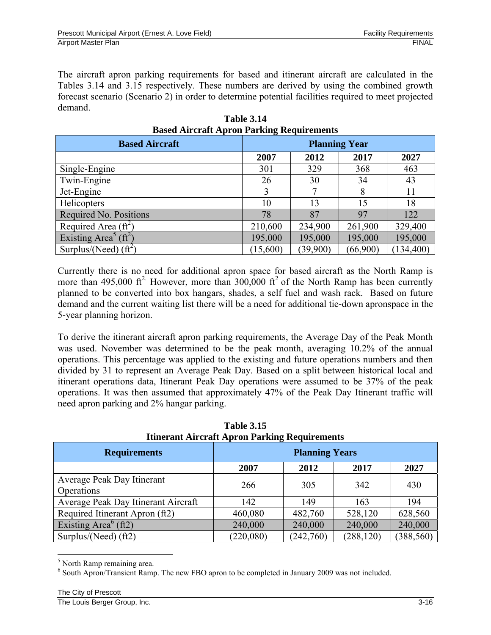The aircraft apron parking requirements for based and itinerant aircraft are calculated in the Tables 3.14 and 3.15 respectively. These numbers are derived by using the combined growth forecast scenario (Scenario 2) in order to determine potential facilities required to meet projected demand.

| Dasca Tin crant Tipi on I an anig Ticqun chichto |                      |          |          |            |  |
|--------------------------------------------------|----------------------|----------|----------|------------|--|
| <b>Based Aircraft</b>                            | <b>Planning Year</b> |          |          |            |  |
|                                                  | 2007                 | 2012     | 2017     | 2027       |  |
| Single-Engine                                    | 301                  | 329      | 368      | 463        |  |
| Twin-Engine                                      | 26                   | 30       | 34       | 43         |  |
| Jet-Engine                                       |                      |          | 8        | 11         |  |
| Helicopters                                      | 10                   | 13       | 15       | 18         |  |
| Required No. Positions                           | 78                   | 87       | 97       | 122        |  |
| Required Area $(\hat{ft}^2)$                     | 210,600              | 234,900  | 261,900  | 329,400    |  |
| Existing Area <sup>5</sup> (ft <sup>2</sup> )    | 195,000              | 195,000  | 195,000  | 195,000    |  |
| Surplus/(Need) $(ft^2)$                          | (15,600)             | (39,900) | (66,900) | (134, 400) |  |

**Table 3.14 Based Aircraft Apron Parking Requirements** 

Currently there is no need for additional apron space for based aircraft as the North Ramp is more than 495,000  $\text{ft}^2$ . However, more than 300,000  $\text{ft}^2$  of the North Ramp has been currently planned to be converted into box hangars, shades, a self fuel and wash rack. Based on future demand and the current waiting list there will be a need for additional tie-down apronspace in the 5-year planning horizon.

To derive the itinerant aircraft apron parking requirements, the Average Day of the Peak Month was used. November was determined to be the peak month, averaging 10.2% of the annual operations. This percentage was applied to the existing and future operations numbers and then divided by 31 to represent an Average Peak Day. Based on a split between historical local and itinerant operations data, Itinerant Peak Day operations were assumed to be 37% of the peak operations. It was then assumed that approximately 47% of the Peak Day Itinerant traffic will need apron parking and 2% hangar parking.

| Tunerant Aircraft Apron Parking Requirements  |                       |           |            |            |  |  |
|-----------------------------------------------|-----------------------|-----------|------------|------------|--|--|
| <b>Requirements</b>                           | <b>Planning Years</b> |           |            |            |  |  |
|                                               | 2007                  | 2012      | 2017       | 2027       |  |  |
| Average Peak Day Itinerant                    | 266                   | 305       | 342        | 430        |  |  |
| Operations                                    |                       |           |            |            |  |  |
| Average Peak Day Itinerant Aircraft           | 142                   | 149       | 163        | 194        |  |  |
| Required Itinerant Apron (ft2)                | 460,080               | 482,760   | 528,120    | 628,560    |  |  |
| Existing Area <sup><math>6</math></sup> (ft2) | 240,000               | 240,000   | 240,000    | 240,000    |  |  |
| Surplus/(Need) $(ft2)$                        | (220,080)             | (242,760) | (288, 120) | (388, 560) |  |  |

**Table 3.15 Itinerant Aircraft Apron Parking Requirements** 

 $\overline{a}$ 

<sup>&</sup>lt;sup>5</sup> North Ramp remaining area.

<sup>&</sup>lt;sup>6</sup> South Apron/Transient Ramp. The new FBO apron to be completed in January 2009 was not included.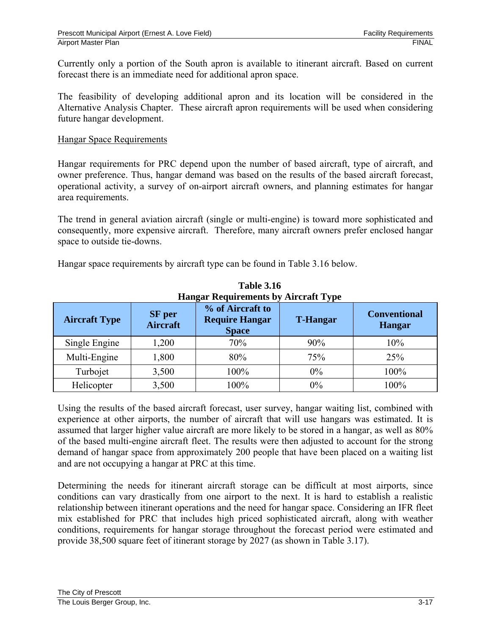Currently only a portion of the South apron is available to itinerant aircraft. Based on current forecast there is an immediate need for additional apron space.

The feasibility of developing additional apron and its location will be considered in the Alternative Analysis Chapter. These aircraft apron requirements will be used when considering future hangar development.

#### Hangar Space Requirements

Hangar requirements for PRC depend upon the number of based aircraft, type of aircraft, and owner preference. Thus, hangar demand was based on the results of the based aircraft forecast, operational activity, a survey of on-airport aircraft owners, and planning estimates for hangar area requirements.

The trend in general aviation aircraft (single or multi-engine) is toward more sophisticated and consequently, more expensive aircraft. Therefore, many aircraft owners prefer enclosed hangar space to outside tie-downs.

Hangar space requirements by aircraft type can be found in Table 3.16 below.

| <b>Hangar Requirements by Aircraft Type</b> |                                  |                                                           |                 |                                      |  |
|---------------------------------------------|----------------------------------|-----------------------------------------------------------|-----------------|--------------------------------------|--|
| <b>Aircraft Type</b>                        | <b>SF</b> per<br><b>Aircraft</b> | % of Aircraft to<br><b>Require Hangar</b><br><b>Space</b> | <b>T-Hangar</b> | <b>Conventional</b><br><b>Hangar</b> |  |
| Single Engine                               | 1,200                            | 70%                                                       | 90%             | 10%                                  |  |
| Multi-Engine                                | 1,800                            | 80%                                                       | 75%             | 25%                                  |  |
| Turbojet                                    | 3,500                            | 100%                                                      | $0\%$           | 100%                                 |  |
| Helicopter                                  | 3,500                            | 100%                                                      | 0%              | 100%                                 |  |

**Table 3.16** 

Using the results of the based aircraft forecast, user survey, hangar waiting list, combined with experience at other airports, the number of aircraft that will use hangars was estimated. It is assumed that larger higher value aircraft are more likely to be stored in a hangar, as well as 80% of the based multi-engine aircraft fleet. The results were then adjusted to account for the strong demand of hangar space from approximately 200 people that have been placed on a waiting list and are not occupying a hangar at PRC at this time.

Determining the needs for itinerant aircraft storage can be difficult at most airports, since conditions can vary drastically from one airport to the next. It is hard to establish a realistic relationship between itinerant operations and the need for hangar space. Considering an IFR fleet mix established for PRC that includes high priced sophisticated aircraft, along with weather conditions, requirements for hangar storage throughout the forecast period were estimated and provide 38,500 square feet of itinerant storage by 2027 (as shown in Table 3.17).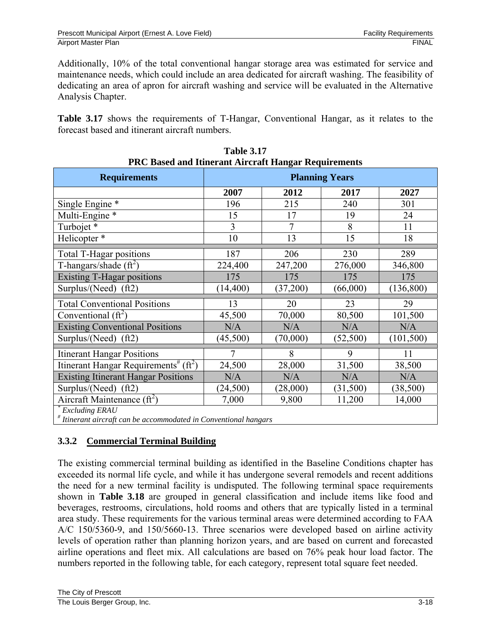Additionally, 10% of the total conventional hangar storage area was estimated for service and maintenance needs, which could include an area dedicated for aircraft washing. The feasibility of dedicating an area of apron for aircraft washing and service will be evaluated in the Alternative Analysis Chapter.

**Table 3.17** shows the requirements of T-Hangar, Conventional Hangar, as it relates to the forecast based and itinerant aircraft numbers.

| PRC Based and Itinerant Aircraft Hangar Requirements           |                       |                |           |            |  |  |
|----------------------------------------------------------------|-----------------------|----------------|-----------|------------|--|--|
| <b>Requirements</b>                                            | <b>Planning Years</b> |                |           |            |  |  |
|                                                                | 2007                  | 2012           | 2017      | 2027       |  |  |
| Single Engine *                                                | 196                   | 215            | 240       | 301        |  |  |
| Multi-Engine *                                                 | 15                    | 17             | 19        | 24         |  |  |
| Turbojet*                                                      | $\overline{3}$        | $\overline{7}$ | 8         | 11         |  |  |
| Helicopter <sup>*</sup>                                        | 10                    | 13             | 15        | 18         |  |  |
| <b>Total T-Hagar positions</b>                                 | 187                   | 206            | 230       | 289        |  |  |
| T-hangars/shade $(ft^2)$                                       | 224,400               | 247,200        | 276,000   | 346,800    |  |  |
| <b>Existing T-Hagar positions</b>                              | 175                   | 175            | 175       | 175        |  |  |
| Surplus/(Need) (ft2)                                           | (14, 400)             | (37,200)       | (66,000)  | (136, 800) |  |  |
| <b>Total Conventional Positions</b>                            | 13                    | 20             | 23        | 29         |  |  |
| Conventional $(f_t^2)$                                         | 45,500                | 70,000         | 80,500    | 101,500    |  |  |
| <b>Existing Conventional Positions</b>                         | N/A                   | N/A            | N/A       | N/A        |  |  |
| Surplus/(Need) $(ft2)$                                         | (45,500)              | (70,000)       | (52, 500) | (101, 500) |  |  |
| <b>Itinerant Hangar Positions</b>                              | 7                     | 8              | 9         | 11         |  |  |
| Itinerant Hangar Requirements <sup>#</sup> ( $ft2$ )           | 24,500                | 28,000         | 31,500    | 38,500     |  |  |
| <b>Existing Itinerant Hangar Positions</b>                     | N/A                   | N/A            | N/A       | N/A        |  |  |
| Surplus/(Need)<br>$({\rm ft2})$                                | (24, 500)             | (28,000)       | (31,500)  | (38, 500)  |  |  |
| Aircraft Maintenance $(ft^2)$                                  | 7,000                 | 9,800          | 11,200    | 14,000     |  |  |
| Excluding ERAU                                                 |                       |                |           |            |  |  |
| Itinerant aircraft can be accommodated in Conventional hangars |                       |                |           |            |  |  |

**Table 3.17** 

**3.3.2 Commercial Terminal Building** 

The existing commercial terminal building as identified in the Baseline Conditions chapter has exceeded its normal life cycle, and while it has undergone several remodels and recent additions the need for a new terminal facility is undisputed. The following terminal space requirements shown in **Table 3.18** are grouped in general classification and include items like food and beverages, restrooms, circulations, hold rooms and others that are typically listed in a terminal area study. These requirements for the various terminal areas were determined according to FAA A/C 150/5360-9, and 150/5660-13. Three scenarios were developed based on airline activity levels of operation rather than planning horizon years, and are based on current and forecasted airline operations and fleet mix. All calculations are based on 76% peak hour load factor. The numbers reported in the following table, for each category, represent total square feet needed.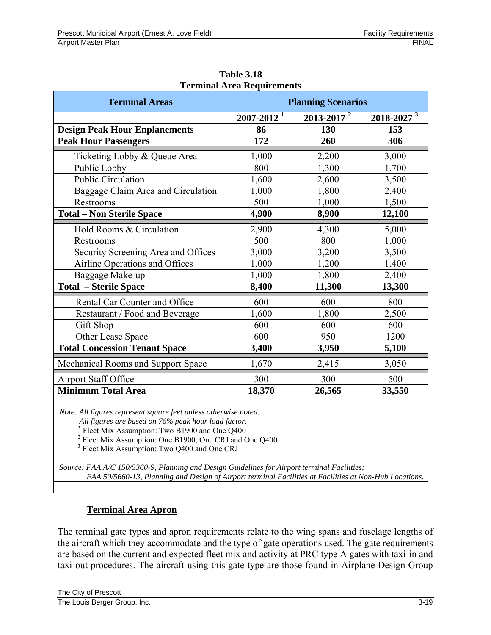| <b>Terminal Areas</b>                | <b>Planning Scenarios</b>  |                            |                            |  |  |
|--------------------------------------|----------------------------|----------------------------|----------------------------|--|--|
|                                      | $2007 - 2012$ <sup>1</sup> | $2013 - 2017$ <sup>2</sup> | $2018 - 2027$ <sup>3</sup> |  |  |
| <b>Design Peak Hour Enplanements</b> | 86                         | 130                        | 153                        |  |  |
| <b>Peak Hour Passengers</b>          | 172                        | 260                        | 306                        |  |  |
| Ticketing Lobby & Queue Area         | 1,000                      | 2,200                      | 3,000                      |  |  |
| Public Lobby                         | 800                        | 1,300                      | 1,700                      |  |  |
| <b>Public Circulation</b>            | 1,600                      | 2,600                      | 3,500                      |  |  |
| Baggage Claim Area and Circulation   | 1,000                      | 1,800                      | 2,400                      |  |  |
| Restrooms                            | 500                        | 1,000                      | 1,500                      |  |  |
| <b>Total - Non Sterile Space</b>     | 4,900                      | 8,900                      | 12,100                     |  |  |
| Hold Rooms & Circulation             | 2,900                      | 4,300                      | 5,000                      |  |  |
| Restrooms                            | 500                        | 800                        | 1,000                      |  |  |
| Security Screening Area and Offices  | 3,000                      | 3,200                      | 3,500                      |  |  |
| Airline Operations and Offices       | 1,000                      | 1,200                      | 1,400                      |  |  |
| Baggage Make-up                      | 1,000                      | 1,800                      | 2,400                      |  |  |
| <b>Total - Sterile Space</b>         | 8,400                      | 11,300                     | 13,300                     |  |  |
| Rental Car Counter and Office        | 600                        | 600                        | 800                        |  |  |
| Restaurant / Food and Beverage       | 1,600                      | 1,800                      | 2,500                      |  |  |
| Gift Shop                            | 600                        | 600                        | 600                        |  |  |
| Other Lease Space                    | 600                        | 950                        | 1200                       |  |  |
| <b>Total Concession Tenant Space</b> | 3,400                      | 3,950                      | 5,100                      |  |  |
| Mechanical Rooms and Support Space   | 1,670                      | 2,415                      | 3,050                      |  |  |
| Airport Staff Office                 | 300                        | 300                        | 500                        |  |  |
| <b>Minimum Total Area</b>            | 18,370                     | 26,565                     | 33,550                     |  |  |

**Table 3.18 Terminal Area Requirements** 

*Note: All figures represent square feet unless otherwise noted.* 

 *All figures are based on 76% peak hour load factor.* 

<sup>1</sup> Fleet Mix Assumption: Two B1900 and One Q400

<sup>2</sup> Fleet Mix Assumption: One B1900, One CRJ and One Q400

<sup>3</sup> Fleet Mix Assumption: Two Q400 and One CRJ

*Source: FAA A/C 150/5360-9, Planning and Design Guidelines for Airport terminal Facilities; FAA 50/5660-13, Planning and Design of Airport terminal Facilities at Facilities at Non-Hub Locations.*

## **Terminal Area Apron**

The terminal gate types and apron requirements relate to the wing spans and fuselage lengths of the aircraft which they accommodate and the type of gate operations used. The gate requirements are based on the current and expected fleet mix and activity at PRC type A gates with taxi-in and taxi-out procedures. The aircraft using this gate type are those found in Airplane Design Group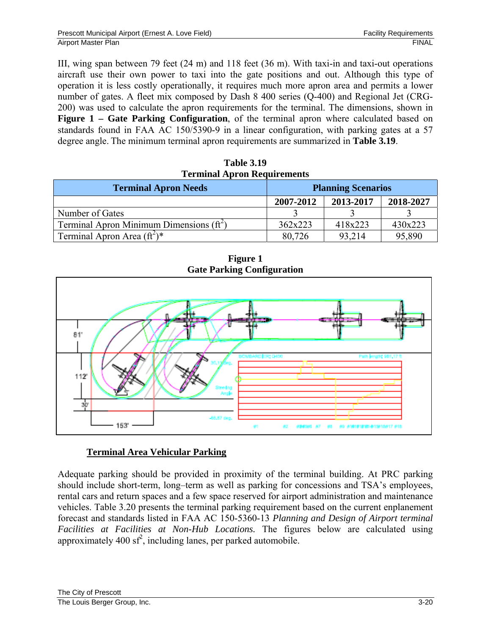III, wing span between 79 feet (24 m) and 118 feet (36 m). With taxi-in and taxi-out operations aircraft use their own power to taxi into the gate positions and out. Although this type of operation it is less costly operationally, it requires much more apron area and permits a lower number of gates. A fleet mix composed by Dash 8 400 series (Q-400) and Regional Jet (CRG-200) was used to calculate the apron requirements for the terminal. The dimensions, shown in **Figure 1 – Gate Parking Configuration**, of the terminal apron where calculated based on standards found in FAA AC 150/5390-9 in a linear configuration, with parking gates at a 57 degree angle. The minimum terminal apron requirements are summarized in **Table 3.19**.

| <b>Table 3.19</b>                  |
|------------------------------------|
| <b>Terminal Apron Requirements</b> |

| <b>Terminal Apron Needs</b>                 | <b>Planning Scenarios</b> |           |           |
|---------------------------------------------|---------------------------|-----------|-----------|
|                                             | 2007-2012                 | 2013-2017 | 2018-2027 |
| Number of Gates                             |                           |           |           |
| Terminal Apron Minimum Dimensions $(f t^2)$ | 362x223                   | 418x223   | 430x223   |
| Terminal Apron Area $(\hat{\pi}^2)^*$       | 80,726                    | 93,214    | 95,890    |

**Figure 1 Gate Parking Configuration** 



## **Terminal Area Vehicular Parking**

Adequate parking should be provided in proximity of the terminal building. At PRC parking should include short-term, long–term as well as parking for concessions and TSA's employees, rental cars and return spaces and a few space reserved for airport administration and maintenance vehicles. Table 3.20 presents the terminal parking requirement based on the current enplanement forecast and standards listed in FAA AC 150-5360-13 *Planning and Design of Airport terminal Facilities at Facilities at Non-Hub Locations.* The figures below are calculated using approximately 400  $\text{sf}^2$ , including lanes, per parked automobile.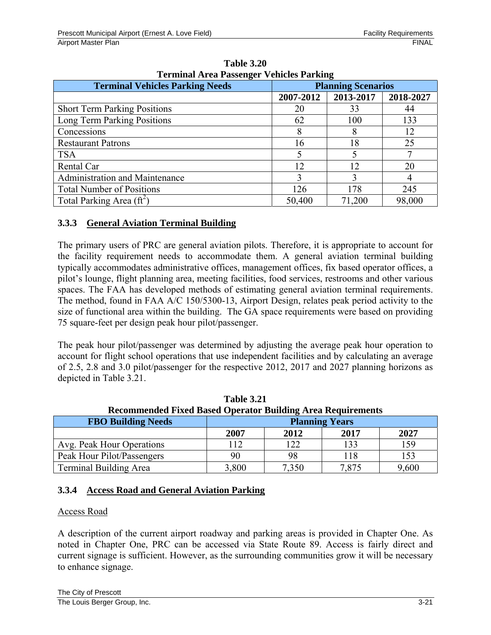| Terminal Area Passenger Venicles Parking |                           |             |           |  |  |
|------------------------------------------|---------------------------|-------------|-----------|--|--|
| <b>Terminal Vehicles Parking Needs</b>   | <b>Planning Scenarios</b> |             |           |  |  |
|                                          | 2007-2012                 | 2013-2017   | 2018-2027 |  |  |
| <b>Short Term Parking Positions</b>      | 20                        | 33          | 44        |  |  |
| Long Term Parking Positions              | 62                        | 100         | 133       |  |  |
| Concessions                              |                           | 8           | 12        |  |  |
| <b>Restaurant Patrons</b>                | 16                        | 18          | 25        |  |  |
| <b>TSA</b>                               |                           | $\varsigma$ |           |  |  |
| Rental Car                               | 12                        | 12          | 20        |  |  |
| Administration and Maintenance           | $\mathbf{3}$              |             |           |  |  |
| <b>Total Number of Positions</b>         | 126                       | 178         | 245       |  |  |
| Total Parking Area $(ft^2)$              | 50,400                    | 71,200      | 98,000    |  |  |

**Table 3.20 Terminal Area Passenger Vehicles Parking** 

## **3.3.3 General Aviation Terminal Building**

The primary users of PRC are general aviation pilots. Therefore, it is appropriate to account for the facility requirement needs to accommodate them. A general aviation terminal building typically accommodates administrative offices, management offices, fix based operator offices, a pilot's lounge, flight planning area, meeting facilities, food services, restrooms and other various spaces. The FAA has developed methods of estimating general aviation terminal requirements. The method, found in FAA A/C 150/5300-13, Airport Design, relates peak period activity to the size of functional area within the building. The GA space requirements were based on providing 75 square-feet per design peak hour pilot/passenger.

The peak hour pilot/passenger was determined by adjusting the average peak hour operation to account for flight school operations that use independent facilities and by calculating an average of 2.5, 2.8 and 3.0 pilot/passenger for the respective 2012, 2017 and 2027 planning horizons as depicted in Table 3.21.

| <b>Recommended Fixed Based Operator Building Area Requirements</b> |                       |       |       |       |
|--------------------------------------------------------------------|-----------------------|-------|-------|-------|
| <b>FBO Building Needs</b>                                          | <b>Planning Years</b> |       |       |       |
|                                                                    | 2007                  | 2012  | 2017  | 2027  |
| Avg. Peak Hour Operations                                          | <sup>12</sup>         | 122   | 133   | 159   |
| Peak Hour Pilot/Passengers                                         | 90                    | 98    | 118   | 153   |
| <b>Terminal Building Area</b>                                      | 3,800                 | 7,350 | 7,875 | 9,600 |

**Table 3.21** 

## **3.3.4 Access Road and General Aviation Parking**

#### Access Road

A description of the current airport roadway and parking areas is provided in Chapter One. As noted in Chapter One, PRC can be accessed via State Route 89. Access is fairly direct and current signage is sufficient. However, as the surrounding communities grow it will be necessary to enhance signage.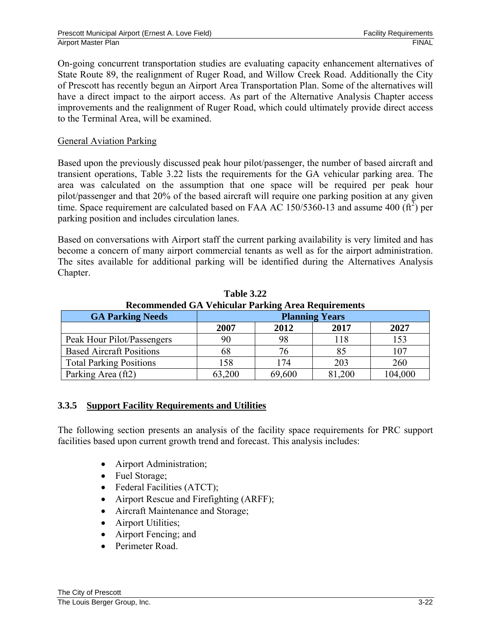On-going concurrent transportation studies are evaluating capacity enhancement alternatives of State Route 89, the realignment of Ruger Road, and Willow Creek Road. Additionally the City of Prescott has recently begun an Airport Area Transportation Plan. Some of the alternatives will have a direct impact to the airport access. As part of the Alternative Analysis Chapter access improvements and the realignment of Ruger Road, which could ultimately provide direct access to the Terminal Area, will be examined.

### General Aviation Parking

Based upon the previously discussed peak hour pilot/passenger, the number of based aircraft and transient operations, Table 3.22 lists the requirements for the GA vehicular parking area. The area was calculated on the assumption that one space will be required per peak hour pilot/passenger and that 20% of the based aircraft will require one parking position at any given time. Space requirement are calculated based on FAA AC 150/5360-13 and assume 400  $(\text{ft}^2)$  per parking position and includes circulation lanes.

Based on conversations with Airport staff the current parking availability is very limited and has become a concern of many airport commercial tenants as well as for the airport administration. The sites available for additional parking will be identified during the Alternatives Analysis Chapter.

| Recommended GA Venicular Farking Area Requirements |                       |        |        |         |
|----------------------------------------------------|-----------------------|--------|--------|---------|
| <b>GA Parking Needs</b>                            | <b>Planning Years</b> |        |        |         |
|                                                    | 2007                  | 2012   | 2017   | 2027    |
| Peak Hour Pilot/Passengers                         | 90                    | 98     | 118    | 153     |
| <b>Based Aircraft Positions</b>                    | 68                    | 76     | 85     | 107     |
| <b>Total Parking Positions</b>                     | 158                   | 174    | 203    | 260     |
| Parking Area (ft2)                                 | 63,200                | 69,600 | 81,200 | 104,000 |

**Table 3.22 Recommended GA Vehicular Parking Area Requirements** 

## **3.3.5 Support Facility Requirements and Utilities**

The following section presents an analysis of the facility space requirements for PRC support facilities based upon current growth trend and forecast. This analysis includes:

- Airport Administration;
- Fuel Storage;
- Federal Facilities (ATCT);
- Airport Rescue and Firefighting (ARFF);
- Aircraft Maintenance and Storage;
- Airport Utilities;
- Airport Fencing; and
- Perimeter Road.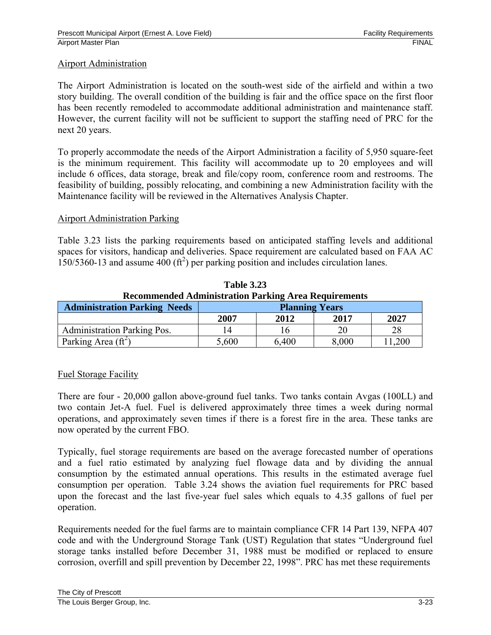#### Airport Administration

The Airport Administration is located on the south-west side of the airfield and within a two story building. The overall condition of the building is fair and the office space on the first floor has been recently remodeled to accommodate additional administration and maintenance staff. However, the current facility will not be sufficient to support the staffing need of PRC for the next 20 years.

To properly accommodate the needs of the Airport Administration a facility of 5,950 square-feet is the minimum requirement. This facility will accommodate up to 20 employees and will include 6 offices, data storage, break and file/copy room, conference room and restrooms. The feasibility of building, possibly relocating, and combining a new Administration facility with the Maintenance facility will be reviewed in the Alternatives Analysis Chapter.

#### Airport Administration Parking

Table 3.23 lists the parking requirements based on anticipated staffing levels and additional spaces for visitors, handicap and deliveries. Space requirement are calculated based on FAA AC  $150/5360 - 13$  and assume  $400$  (ft<sup>2</sup>) per parking position and includes circulation lanes.

| <b>Recommended Administration Parking Area Requirements</b> |                       |       |       |        |
|-------------------------------------------------------------|-----------------------|-------|-------|--------|
| <b>Administration Parking Needs</b>                         | <b>Planning Years</b> |       |       |        |
|                                                             | 2007                  | 2012  | 2017  | 2027   |
| <b>Administration Parking Pos.</b>                          |                       | 16    | 20    | 28     |
| Parking Area $(ft^2)$                                       | 5,600                 | 6,400 | 8,000 | 11,200 |

**Table 3.23** 

## Fuel Storage Facility

There are four - 20,000 gallon above-ground fuel tanks. Two tanks contain Avgas (100LL) and two contain Jet-A fuel. Fuel is delivered approximately three times a week during normal operations, and approximately seven times if there is a forest fire in the area. These tanks are now operated by the current FBO.

Typically, fuel storage requirements are based on the average forecasted number of operations and a fuel ratio estimated by analyzing fuel flowage data and by dividing the annual consumption by the estimated annual operations. This results in the estimated average fuel consumption per operation. Table 3.24 shows the aviation fuel requirements for PRC based upon the forecast and the last five-year fuel sales which equals to 4.35 gallons of fuel per operation.

Requirements needed for the fuel farms are to maintain compliance CFR 14 Part 139, NFPA 407 code and with the Underground Storage Tank (UST) Regulation that states "Underground fuel storage tanks installed before December 31, 1988 must be modified or replaced to ensure corrosion, overfill and spill prevention by December 22, 1998". PRC has met these requirements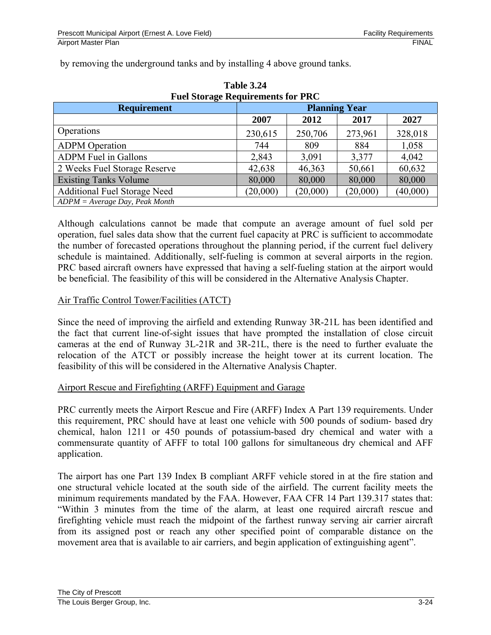by removing the underground tanks and by installing 4 above ground tanks.

| Fuel Storage Requirements for PRC |                      |          |          |          |  |
|-----------------------------------|----------------------|----------|----------|----------|--|
| <b>Requirement</b>                | <b>Planning Year</b> |          |          |          |  |
|                                   | 2007                 | 2012     | 2017     | 2027     |  |
| Operations                        | 230,615              | 250,706  | 273,961  | 328,018  |  |
| <b>ADPM</b> Operation             | 744                  | 809      | 884      | 1,058    |  |
| <b>ADPM</b> Fuel in Gallons       | 2,843                | 3,091    | 3,377    | 4,042    |  |
| 2 Weeks Fuel Storage Reserve      | 42,638               | 46,363   | 50,661   | 60,632   |  |
| <b>Existing Tanks Volume</b>      | 80,000               | 80,000   | 80,000   | 80,000   |  |
| Additional Fuel Storage Need      | (20,000)             | (20,000) | (20,000) | (40,000) |  |
| $ADPM = Average Day, Peak Month$  |                      |          |          |          |  |

**Table 3.24 Fuel Storage Requirements for PRC** 

Although calculations cannot be made that compute an average amount of fuel sold per operation, fuel sales data show that the current fuel capacity at PRC is sufficient to accommodate the number of forecasted operations throughout the planning period, if the current fuel delivery schedule is maintained. Additionally, self-fueling is common at several airports in the region. PRC based aircraft owners have expressed that having a self-fueling station at the airport would be beneficial. The feasibility of this will be considered in the Alternative Analysis Chapter.

## Air Traffic Control Tower/Facilities (ATCT)

Since the need of improving the airfield and extending Runway 3R-21L has been identified and the fact that current line-of-sight issues that have prompted the installation of close circuit cameras at the end of Runway 3L-21R and 3R-21L, there is the need to further evaluate the relocation of the ATCT or possibly increase the height tower at its current location. The feasibility of this will be considered in the Alternative Analysis Chapter.

#### Airport Rescue and Firefighting (ARFF) Equipment and Garage

PRC currently meets the Airport Rescue and Fire (ARFF) Index A Part 139 requirements. Under this requirement, PRC should have at least one vehicle with 500 pounds of sodium- based dry chemical, halon 1211 or 450 pounds of potassium-based dry chemical and water with a commensurate quantity of AFFF to total 100 gallons for simultaneous dry chemical and AFF application.

The airport has one Part 139 Index B compliant ARFF vehicle stored in at the fire station and one structural vehicle located at the south side of the airfield. The current facility meets the minimum requirements mandated by the FAA. However, FAA CFR 14 Part 139.317 states that: "Within 3 minutes from the time of the alarm, at least one required aircraft rescue and firefighting vehicle must reach the midpoint of the farthest runway serving air carrier aircraft from its assigned post or reach any other specified point of comparable distance on the movement area that is available to air carriers, and begin application of extinguishing agent".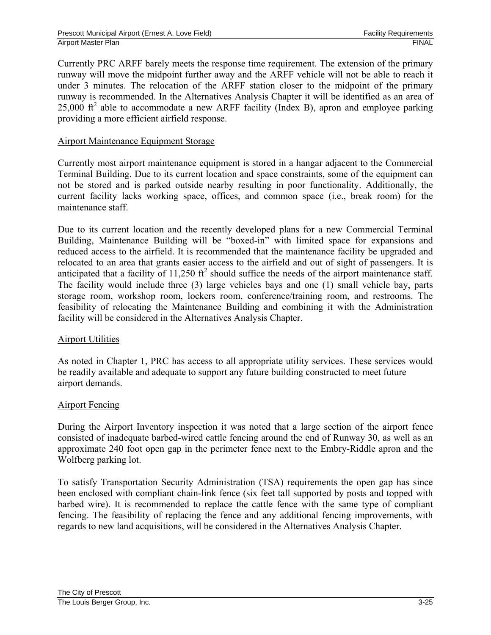Currently PRC ARFF barely meets the response time requirement. The extension of the primary runway will move the midpoint further away and the ARFF vehicle will not be able to reach it under 3 minutes. The relocation of the ARFF station closer to the midpoint of the primary runway is recommended. In the Alternatives Analysis Chapter it will be identified as an area of 25,000  $\text{ft}^2$  able to accommodate a new ARFF facility (Index B), apron and employee parking providing a more efficient airfield response.

### Airport Maintenance Equipment Storage

Currently most airport maintenance equipment is stored in a hangar adjacent to the Commercial Terminal Building. Due to its current location and space constraints, some of the equipment can not be stored and is parked outside nearby resulting in poor functionality. Additionally, the current facility lacks working space, offices, and common space (i.e., break room) for the maintenance staff.

Due to its current location and the recently developed plans for a new Commercial Terminal Building, Maintenance Building will be "boxed-in" with limited space for expansions and reduced access to the airfield. It is recommended that the maintenance facility be upgraded and relocated to an area that grants easier access to the airfield and out of sight of passengers. It is anticipated that a facility of  $11,250$  ft<sup>2</sup> should suffice the needs of the airport maintenance staff. The facility would include three (3) large vehicles bays and one (1) small vehicle bay, parts storage room, workshop room, lockers room, conference/training room, and restrooms. The feasibility of relocating the Maintenance Building and combining it with the Administration facility will be considered in the Alternatives Analysis Chapter.

## Airport Utilities

As noted in Chapter 1, PRC has access to all appropriate utility services. These services would be readily available and adequate to support any future building constructed to meet future airport demands.

#### Airport Fencing

During the Airport Inventory inspection it was noted that a large section of the airport fence consisted of inadequate barbed-wired cattle fencing around the end of Runway 30, as well as an approximate 240 foot open gap in the perimeter fence next to the Embry-Riddle apron and the Wolfberg parking lot.

To satisfy Transportation Security Administration (TSA) requirements the open gap has since been enclosed with compliant chain-link fence (six feet tall supported by posts and topped with barbed wire). It is recommended to replace the cattle fence with the same type of compliant fencing. The feasibility of replacing the fence and any additional fencing improvements, with regards to new land acquisitions, will be considered in the Alternatives Analysis Chapter.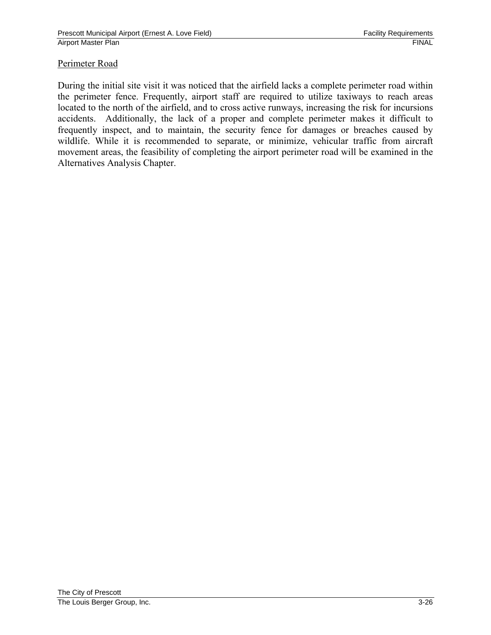## Perimeter Road

During the initial site visit it was noticed that the airfield lacks a complete perimeter road within the perimeter fence. Frequently, airport staff are required to utilize taxiways to reach areas located to the north of the airfield, and to cross active runways, increasing the risk for incursions accidents. Additionally, the lack of a proper and complete perimeter makes it difficult to frequently inspect, and to maintain, the security fence for damages or breaches caused by wildlife. While it is recommended to separate, or minimize, vehicular traffic from aircraft movement areas, the feasibility of completing the airport perimeter road will be examined in the Alternatives Analysis Chapter.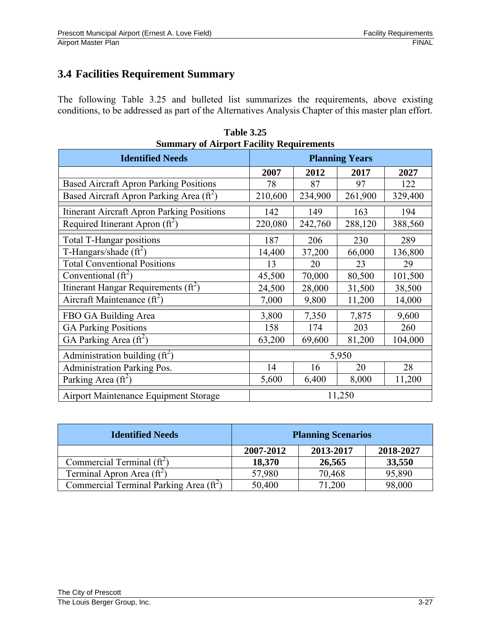# **3.4 Facilities Requirement Summary**

The following Table 3.25 and bulleted list summarizes the requirements, above existing conditions, to be addressed as part of the Alternatives Analysis Chapter of this master plan effort.

| Summary of Airport Facility Requirements          |                       |         |         |         |  |
|---------------------------------------------------|-----------------------|---------|---------|---------|--|
| <b>Identified Needs</b>                           | <b>Planning Years</b> |         |         |         |  |
|                                                   | 2007                  | 2012    | 2017    | 2027    |  |
| <b>Based Aircraft Apron Parking Positions</b>     | 78                    | 87      | 97      | 122     |  |
| Based Aircraft Apron Parking Area $(\text{ft}^2)$ | 210,600               | 234,900 | 261,900 | 329,400 |  |
| <b>Itinerant Aircraft Apron Parking Positions</b> | 142                   | 149     | 163     | 194     |  |
| Required Itinerant Apron $(ft^2)$                 | 220,080               | 242,760 | 288,120 | 388,560 |  |
| Total T-Hangar positions                          | 187                   | 206     | 230     | 289     |  |
| T-Hangars/shade $(\hat{\pi}^2)$                   | 14,400                | 37,200  | 66,000  | 136,800 |  |
| <b>Total Conventional Positions</b>               | 13                    | 20      | 23      | 29      |  |
| Conventional $(ft^2)$                             | 45,500                | 70,000  | 80,500  | 101,500 |  |
| Itinerant Hangar Requirements $(\text{ft}^2)$     | 24,500                | 28,000  | 31,500  | 38,500  |  |
| Aircraft Maintenance $(\text{ft}^2)$              | 7,000                 | 9,800   | 11,200  | 14,000  |  |
| FBO GA Building Area                              | 3,800                 | 7,350   | 7,875   | 9,600   |  |
| <b>GA Parking Positions</b>                       | 158                   | 174     | 203     | 260     |  |
| GA Parking Area $(\text{ft}^2)$                   | 63,200                | 69,600  | 81,200  | 104,000 |  |
| Administration building $(f t^2)$                 | 5,950                 |         |         |         |  |
| <b>Administration Parking Pos.</b>                | 14                    | 16      | 20      | 28      |  |
| Parking Area $(ft^2)$                             | 5,600                 | 6,400   | 8,000   | 11,200  |  |
| Airport Maintenance Equipment Storage             | 11,250                |         |         |         |  |

**Table 3.25 Summary of Airport Facility Requirements**

| <b>Identified Needs</b>                       | <b>Planning Scenarios</b> |           |           |  |
|-----------------------------------------------|---------------------------|-----------|-----------|--|
|                                               | 2007-2012                 | 2013-2017 | 2018-2027 |  |
| Commercial Terminal $(ft^2)$                  | 18,370                    | 26,565    | 33,550    |  |
| Terminal Apron Area $(ft^2)$                  | 57,980                    | 70,468    | 95,890    |  |
| Commercial Terminal Parking Area $(f\hat{t})$ | 50,400                    | 71,200    | 98,000    |  |